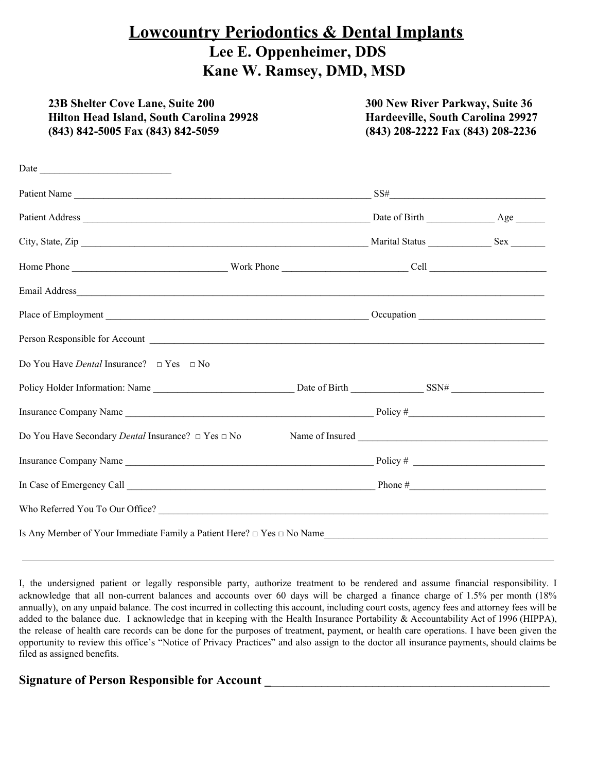## **Lowcountry Periodontics & Dental Implants Lee E. Oppenheimer, DDS Kane W. Ramsey, DMD, MSD**

| 23B Shelter Cove Lane, Suite 200<br>Hilton Head Island, South Carolina 29928<br>(843) 842-5005 Fax (843) 842-5059 | 300 New River Parkway, Suite 36<br>Hardeeville, South Carolina 29927<br>(843) 208-2222 Fax (843) 208-2236 |  |  |  |
|-------------------------------------------------------------------------------------------------------------------|-----------------------------------------------------------------------------------------------------------|--|--|--|
|                                                                                                                   |                                                                                                           |  |  |  |
|                                                                                                                   |                                                                                                           |  |  |  |
|                                                                                                                   |                                                                                                           |  |  |  |
|                                                                                                                   |                                                                                                           |  |  |  |
|                                                                                                                   |                                                                                                           |  |  |  |
|                                                                                                                   |                                                                                                           |  |  |  |
|                                                                                                                   |                                                                                                           |  |  |  |
|                                                                                                                   |                                                                                                           |  |  |  |
| Do You Have <i>Dental</i> Insurance? $\Box$ Yes $\Box$ No                                                         |                                                                                                           |  |  |  |
|                                                                                                                   |                                                                                                           |  |  |  |
|                                                                                                                   |                                                                                                           |  |  |  |
| Do You Have Secondary <i>Dental</i> Insurance? □ Yes □ No                                                         |                                                                                                           |  |  |  |
|                                                                                                                   |                                                                                                           |  |  |  |
| In Case of Emergency Call $\frac{1}{\sqrt{1-\frac{1}{2}}}\left\lfloor \frac{1}{2}\right\rfloor$ Phone #           |                                                                                                           |  |  |  |
|                                                                                                                   |                                                                                                           |  |  |  |
|                                                                                                                   |                                                                                                           |  |  |  |

I, the undersigned patient or legally responsible party, authorize treatment to be rendered and assume financial responsibility. I acknowledge that all non-current balances and accounts over 60 days will be charged a finance charge of 1.5% per month (18% annually), on any unpaid balance. The cost incurred in collecting this account, including court costs, agency fees and attorney fees will be added to the balance due. I acknowledge that in keeping with the Health Insurance Portability & Accountability Act of 1996 (HIPPA), the release of health care records can be done for the purposes of treatment, payment, or health care operations. I have been given the opportunity to review this office's "Notice of Privacy Practices" and also assign to the doctor all insurance payments, should claims be filed as assigned benefits.

## **Signature of Person Responsible for Account \_**\_\_\_\_\_\_\_\_\_\_\_\_\_\_\_\_\_\_\_\_\_\_\_\_\_\_\_\_\_\_\_\_\_\_\_\_\_\_\_\_\_\_\_\_